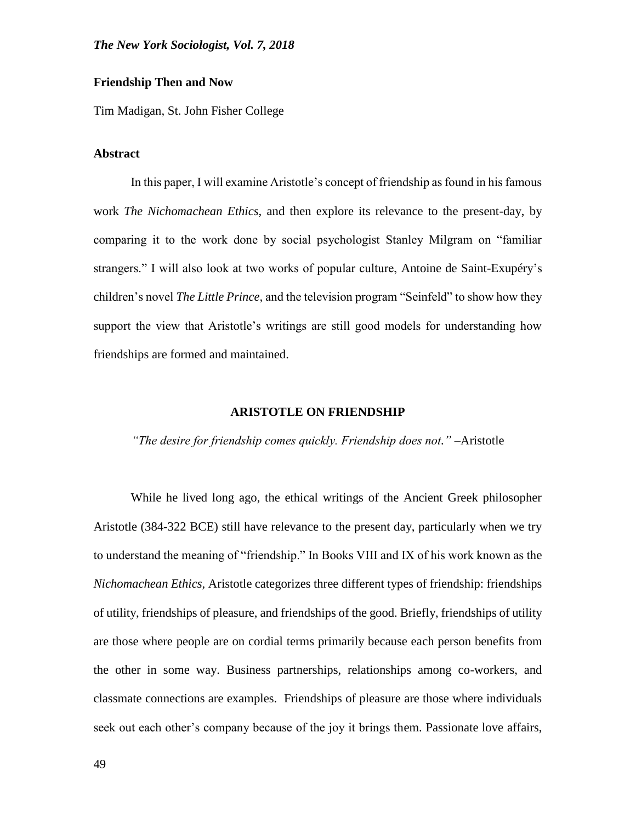## **Friendship Then and Now**

Tim Madigan, St. John Fisher College

## **Abstract**

In this paper, I will examine Aristotle's concept of friendship as found in his famous work *The Nichomachean Ethics,* and then explore its relevance to the present-day, by comparing it to the work done by social psychologist Stanley Milgram on "familiar strangers." I will also look at two works of popular culture, Antoine de Saint-Exupéry's children's novel *The Little Prince,* and the television program "Seinfeld" to show how they support the view that Aristotle's writings are still good models for understanding how friendships are formed and maintained.

## **ARISTOTLE ON FRIENDSHIP**

*"The desire for friendship comes quickly. Friendship does not."* –Aristotle

While he lived long ago, the ethical writings of the Ancient Greek philosopher Aristotle (384-322 BCE) still have relevance to the present day, particularly when we try to understand the meaning of "friendship." In Books VIII and IX of his work known as the *Nichomachean Ethics,* Aristotle categorizes three different types of friendship: friendships of utility, friendships of pleasure, and friendships of the good. Briefly, friendships of utility are those where people are on cordial terms primarily because each person benefits from the other in some way. Business partnerships, relationships among co-workers, and classmate connections are examples. Friendships of pleasure are those where individuals seek out each other's company because of the joy it brings them. Passionate love affairs,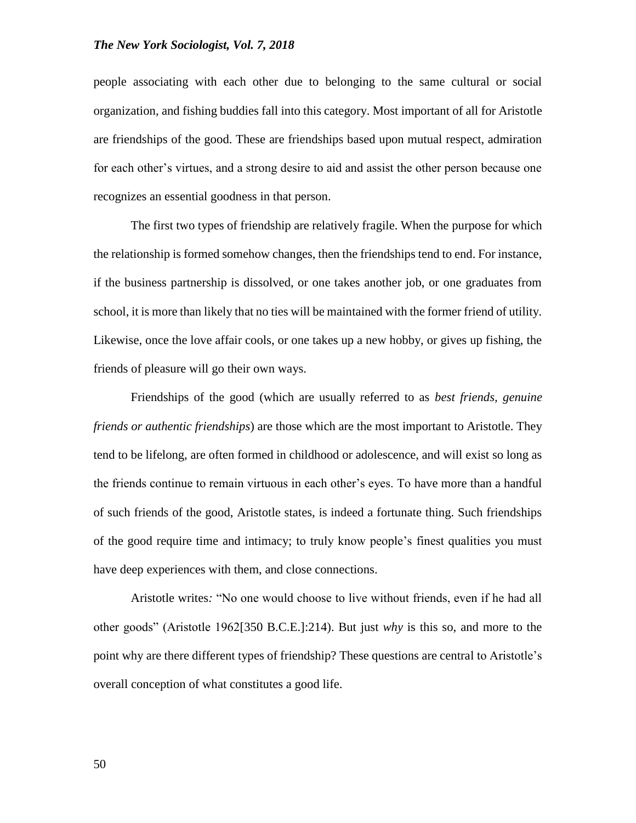people associating with each other due to belonging to the same cultural or social organization, and fishing buddies fall into this category. Most important of all for Aristotle are friendships of the good. These are friendships based upon mutual respect, admiration for each other's virtues, and a strong desire to aid and assist the other person because one recognizes an essential goodness in that person.

The first two types of friendship are relatively fragile. When the purpose for which the relationship is formed somehow changes, then the friendships tend to end. For instance, if the business partnership is dissolved, or one takes another job, or one graduates from school, it is more than likely that no ties will be maintained with the former friend of utility. Likewise, once the love affair cools, or one takes up a new hobby, or gives up fishing, the friends of pleasure will go their own ways.

Friendships of the good (which are usually referred to as *best friends, genuine friends or authentic friendships*) are those which are the most important to Aristotle. They tend to be lifelong, are often formed in childhood or adolescence, and will exist so long as the friends continue to remain virtuous in each other's eyes. To have more than a handful of such friends of the good, Aristotle states, is indeed a fortunate thing. Such friendships of the good require time and intimacy; to truly know people's finest qualities you must have deep experiences with them, and close connections.

Aristotle writes*:* "No one would choose to live without friends, even if he had all other goods" (Aristotle 1962[350 B.C.E.]:214). But just *why* is this so, and more to the point why are there different types of friendship? These questions are central to Aristotle's overall conception of what constitutes a good life.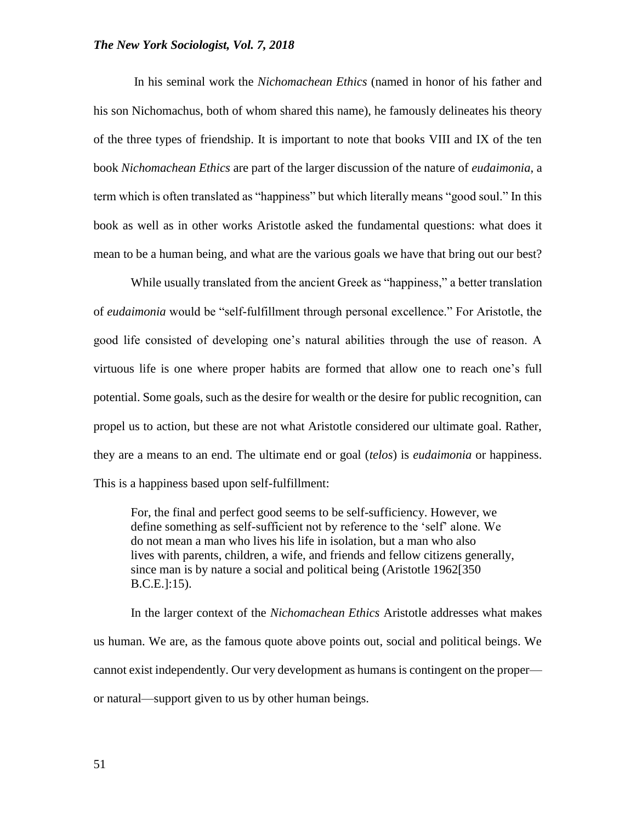In his seminal work the *Nichomachean Ethics* (named in honor of his father and his son Nichomachus, both of whom shared this name), he famously delineates his theory of the three types of friendship. It is important to note that books VIII and IX of the ten book *Nichomachean Ethics* are part of the larger discussion of the nature of *eudaimonia*, a term which is often translated as "happiness" but which literally means "good soul." In this book as well as in other works Aristotle asked the fundamental questions: what does it mean to be a human being, and what are the various goals we have that bring out our best?

While usually translated from the ancient Greek as "happiness," a better translation of *eudaimonia* would be "self-fulfillment through personal excellence." For Aristotle, the good life consisted of developing one's natural abilities through the use of reason. A virtuous life is one where proper habits are formed that allow one to reach one's full potential. Some goals, such as the desire for wealth or the desire for public recognition, can propel us to action, but these are not what Aristotle considered our ultimate goal. Rather, they are a means to an end. The ultimate end or goal (*telos*) is *eudaimonia* or happiness. This is a happiness based upon self-fulfillment:

For, the final and perfect good seems to be self-sufficiency. However, we define something as self-sufficient not by reference to the 'self' alone. We do not mean a man who lives his life in isolation, but a man who also lives with parents, children, a wife, and friends and fellow citizens generally, since man is by nature a social and political being (Aristotle 1962[350 B.C.E.]:15).

In the larger context of the *Nichomachean Ethics* Aristotle addresses what makes us human. We are, as the famous quote above points out, social and political beings. We cannot exist independently. Our very development as humans is contingent on the proper or natural—support given to us by other human beings.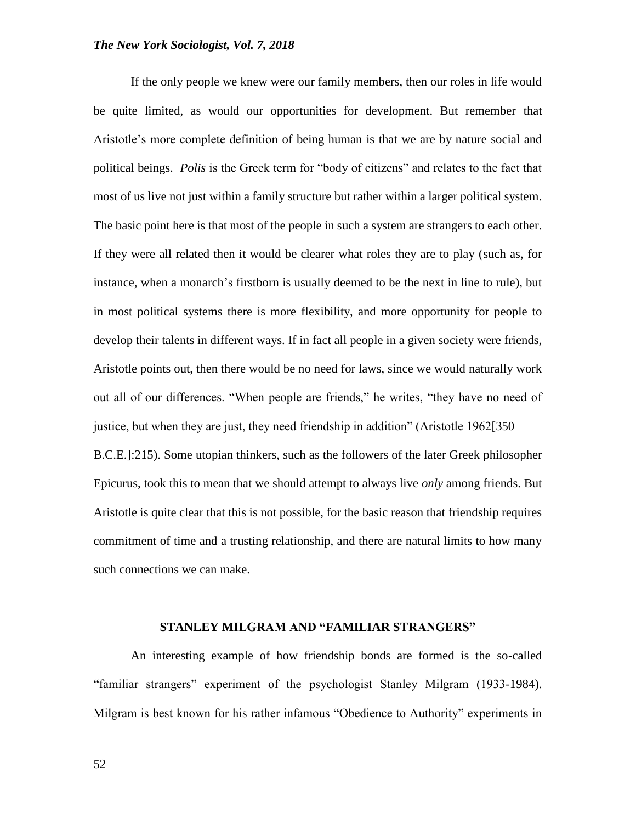If the only people we knew were our family members, then our roles in life would be quite limited, as would our opportunities for development. But remember that Aristotle's more complete definition of being human is that we are by nature social and political beings. *Polis* is the Greek term for "body of citizens" and relates to the fact that most of us live not just within a family structure but rather within a larger political system. The basic point here is that most of the people in such a system are strangers to each other. If they were all related then it would be clearer what roles they are to play (such as, for instance, when a monarch's firstborn is usually deemed to be the next in line to rule), but in most political systems there is more flexibility, and more opportunity for people to develop their talents in different ways. If in fact all people in a given society were friends, Aristotle points out, then there would be no need for laws, since we would naturally work out all of our differences. "When people are friends," he writes, "they have no need of justice, but when they are just, they need friendship in addition" (Aristotle 1962[350 B.C.E.]:215). Some utopian thinkers, such as the followers of the later Greek philosopher Epicurus, took this to mean that we should attempt to always live *only* among friends. But Aristotle is quite clear that this is not possible, for the basic reason that friendship requires commitment of time and a trusting relationship, and there are natural limits to how many such connections we can make.

#### **STANLEY MILGRAM AND "FAMILIAR STRANGERS"**

An interesting example of how friendship bonds are formed is the so-called "familiar strangers" experiment of the psychologist Stanley Milgram (1933-1984). Milgram is best known for his rather infamous "Obedience to Authority" experiments in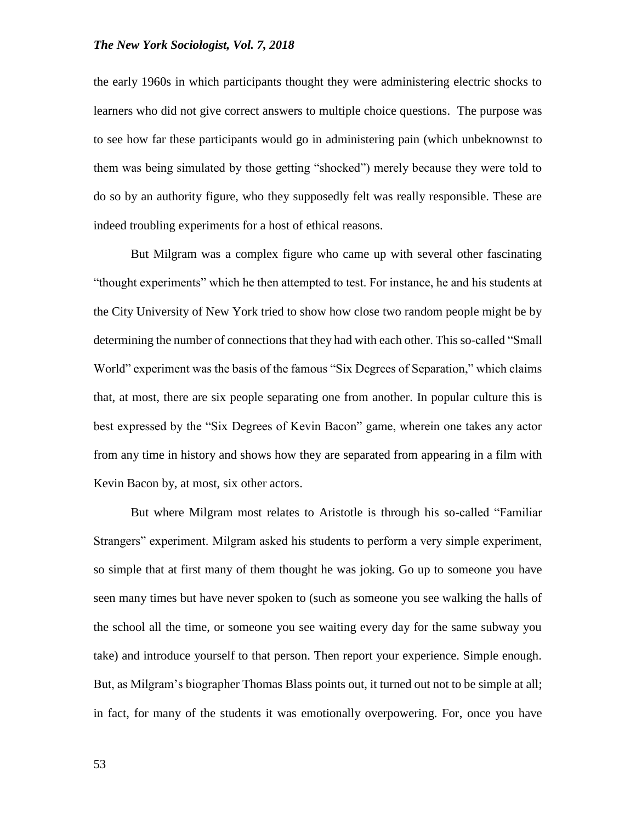the early 1960s in which participants thought they were administering electric shocks to learners who did not give correct answers to multiple choice questions. The purpose was to see how far these participants would go in administering pain (which unbeknownst to them was being simulated by those getting "shocked") merely because they were told to do so by an authority figure, who they supposedly felt was really responsible. These are indeed troubling experiments for a host of ethical reasons.

But Milgram was a complex figure who came up with several other fascinating "thought experiments" which he then attempted to test. For instance, he and his students at the City University of New York tried to show how close two random people might be by determining the number of connections that they had with each other. This so-called "Small World" experiment was the basis of the famous "Six Degrees of Separation," which claims that, at most, there are six people separating one from another. In popular culture this is best expressed by the "Six Degrees of Kevin Bacon" game, wherein one takes any actor from any time in history and shows how they are separated from appearing in a film with Kevin Bacon by, at most, six other actors.

But where Milgram most relates to Aristotle is through his so-called "Familiar Strangers" experiment. Milgram asked his students to perform a very simple experiment, so simple that at first many of them thought he was joking. Go up to someone you have seen many times but have never spoken to (such as someone you see walking the halls of the school all the time, or someone you see waiting every day for the same subway you take) and introduce yourself to that person. Then report your experience. Simple enough. But, as Milgram's biographer Thomas Blass points out, it turned out not to be simple at all; in fact, for many of the students it was emotionally overpowering. For, once you have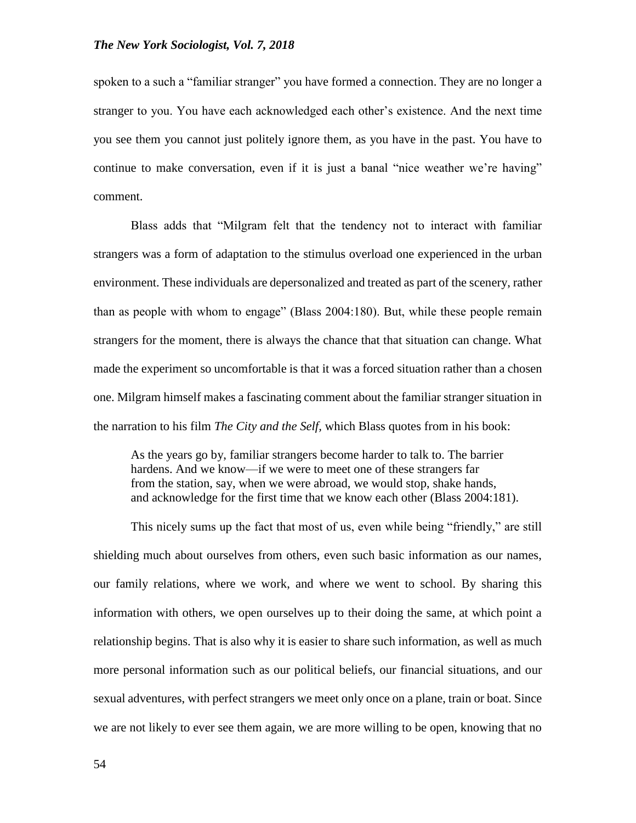spoken to a such a "familiar stranger" you have formed a connection. They are no longer a stranger to you. You have each acknowledged each other's existence. And the next time you see them you cannot just politely ignore them, as you have in the past. You have to continue to make conversation, even if it is just a banal "nice weather we're having" comment.

Blass adds that "Milgram felt that the tendency not to interact with familiar strangers was a form of adaptation to the stimulus overload one experienced in the urban environment. These individuals are depersonalized and treated as part of the scenery, rather than as people with whom to engage" (Blass 2004:180). But, while these people remain strangers for the moment, there is always the chance that that situation can change. What made the experiment so uncomfortable is that it was a forced situation rather than a chosen one. Milgram himself makes a fascinating comment about the familiar stranger situation in the narration to his film *The City and the Self,* which Blass quotes from in his book:

As the years go by, familiar strangers become harder to talk to. The barrier hardens. And we know—if we were to meet one of these strangers far from the station, say, when we were abroad, we would stop, shake hands, and acknowledge for the first time that we know each other (Blass 2004:181).

This nicely sums up the fact that most of us, even while being "friendly," are still shielding much about ourselves from others, even such basic information as our names, our family relations, where we work, and where we went to school. By sharing this information with others, we open ourselves up to their doing the same, at which point a relationship begins. That is also why it is easier to share such information, as well as much more personal information such as our political beliefs, our financial situations, and our sexual adventures, with perfect strangers we meet only once on a plane, train or boat. Since we are not likely to ever see them again, we are more willing to be open, knowing that no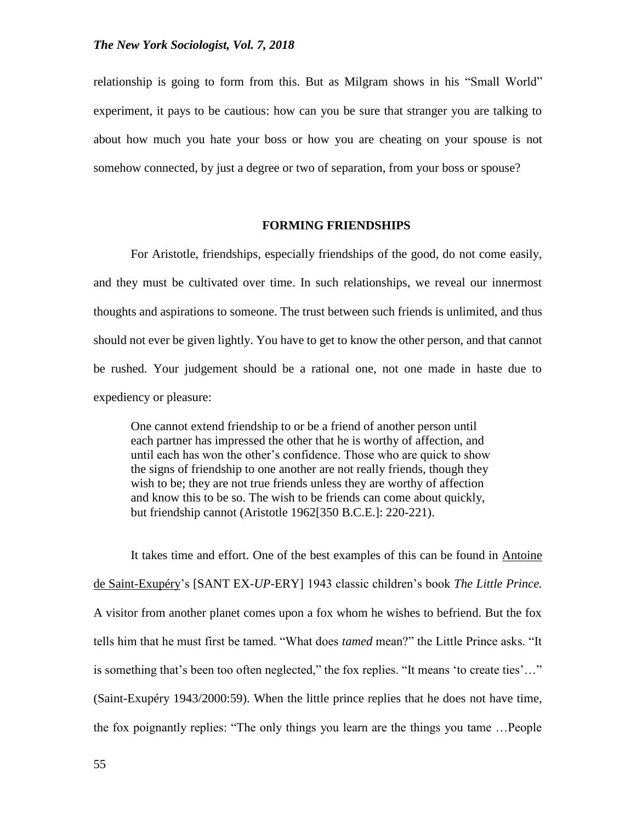relationship is going to form from this. But as Milgram shows in his "Small World" experiment, it pays to be cautious: how can you be sure that stranger you are talking to about how much you hate your boss or how you are cheating on your spouse is not somehow connected, by just a degree or two of separation, from your boss or spouse?

#### **FORMING FRIENDSHIPS**

For Aristotle, friendships, especially friendships of the good, do not come easily, and they must be cultivated over time. In such relationships, we reveal our innermost thoughts and aspirations to someone. The trust between such friends is unlimited, and thus should not ever be given lightly. You have to get to know the other person, and that cannot be rushed. Your judgement should be a rational one, not one made in haste due to expediency or pleasure:

One cannot extend friendship to or be a friend of another person until each partner has impressed the other that he is worthy of affection, and until each has won the other's confidence. Those who are quick to show the signs of friendship to one another are not really friends, though they wish to be; they are not true friends unless they are worthy of affection and know this to be so. The wish to be friends can come about quickly, but friendship cannot (Aristotle 1962[350 B.C.E.]: 220-221).

It takes time and effort. One of the best examples of this can be found in [Antoine](https://en.wikipedia.org/wiki/Antoine_de_Saint-Exup%C3%A9ry)  [de Saint-Exupéry'](https://en.wikipedia.org/wiki/Antoine_de_Saint-Exup%C3%A9ry)s [SANT EX-*UP-*ERY] 1943 classic children's book *The Little Prince.*  A visitor from another planet comes upon a fox whom he wishes to befriend. But the fox tells him that he must first be tamed. "What does *tamed* mean?" the Little Prince asks. "It is something that's been too often neglected," the fox replies. "It means 'to create ties'…" (Saint-Exupéry 1943/2000:59). When the little prince replies that he does not have time, the fox poignantly replies: "The only things you learn are the things you tame …People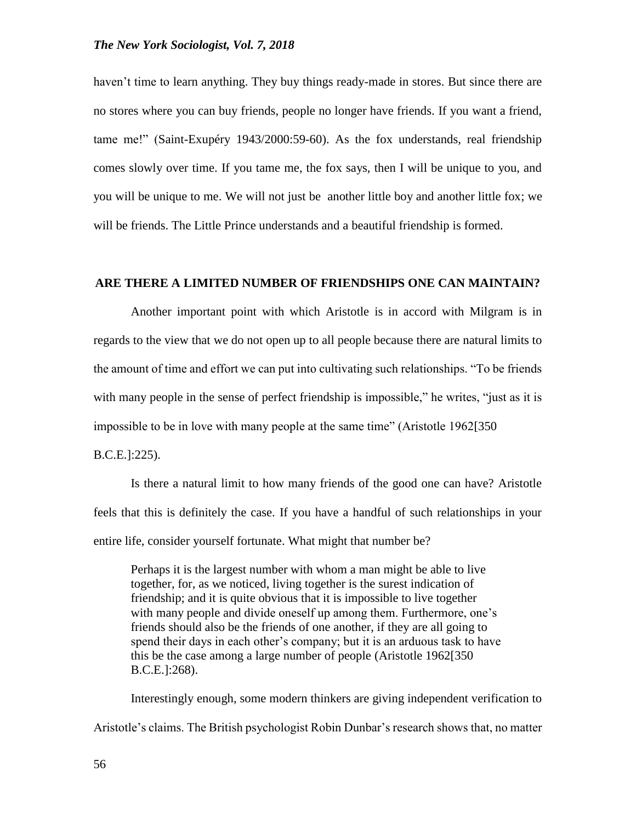haven't time to learn anything. They buy things ready-made in stores. But since there are no stores where you can buy friends, people no longer have friends. If you want a friend, tame me!" (Saint-Exupéry 1943/2000:59-60). As the fox understands, real friendship comes slowly over time. If you tame me, the fox says, then I will be unique to you, and you will be unique to me. We will not just be another little boy and another little fox; we will be friends. The Little Prince understands and a beautiful friendship is formed.

## **ARE THERE A LIMITED NUMBER OF FRIENDSHIPS ONE CAN MAINTAIN?**

Another important point with which Aristotle is in accord with Milgram is in regards to the view that we do not open up to all people because there are natural limits to the amount of time and effort we can put into cultivating such relationships. "To be friends with many people in the sense of perfect friendship is impossible," he writes, "just as it is impossible to be in love with many people at the same time" (Aristotle 1962[350

B.C.E.]:225).

Is there a natural limit to how many friends of the good one can have? Aristotle feels that this is definitely the case. If you have a handful of such relationships in your entire life, consider yourself fortunate. What might that number be?

Perhaps it is the largest number with whom a man might be able to live together, for, as we noticed, living together is the surest indication of friendship; and it is quite obvious that it is impossible to live together with many people and divide oneself up among them. Furthermore, one's friends should also be the friends of one another, if they are all going to spend their days in each other's company; but it is an arduous task to have this be the case among a large number of people (Aristotle 1962[350 B.C.E.]:268).

Interestingly enough, some modern thinkers are giving independent verification to Aristotle's claims. The British psychologist Robin Dunbar's research shows that, no matter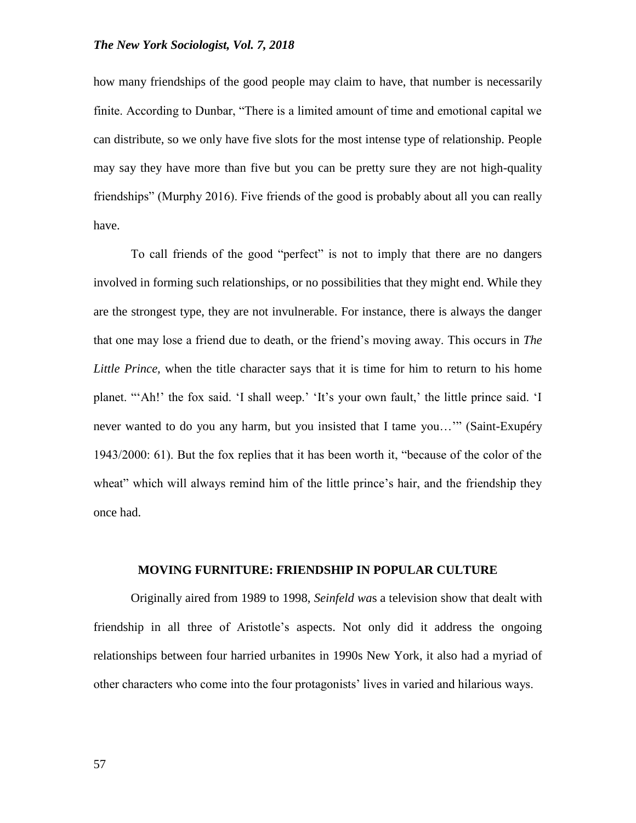how many friendships of the good people may claim to have, that number is necessarily finite. According to Dunbar, "There is a limited amount of time and emotional capital we can distribute, so we only have five slots for the most intense type of relationship. People may say they have more than five but you can be pretty sure they are not high-quality friendships" (Murphy 2016). Five friends of the good is probably about all you can really have.

To call friends of the good "perfect" is not to imply that there are no dangers involved in forming such relationships, or no possibilities that they might end. While they are the strongest type, they are not invulnerable. For instance, there is always the danger that one may lose a friend due to death, or the friend's moving away. This occurs in *The Little Prince,* when the title character says that it is time for him to return to his home planet. "'Ah!' the fox said. 'I shall weep.' 'It's your own fault,' the little prince said. 'I never wanted to do you any harm, but you insisted that I tame you…'" (Saint-Exupéry 1943/2000: 61). But the fox replies that it has been worth it, "because of the color of the wheat" which will always remind him of the little prince's hair, and the friendship they once had.

#### **MOVING FURNITURE: FRIENDSHIP IN POPULAR CULTURE**

Originally aired from 1989 to 1998, *Seinfeld wa*s a television show that dealt with friendship in all three of Aristotle's aspects. Not only did it address the ongoing relationships between four harried urbanites in 1990s New York, it also had a myriad of other characters who come into the four protagonists' lives in varied and hilarious ways.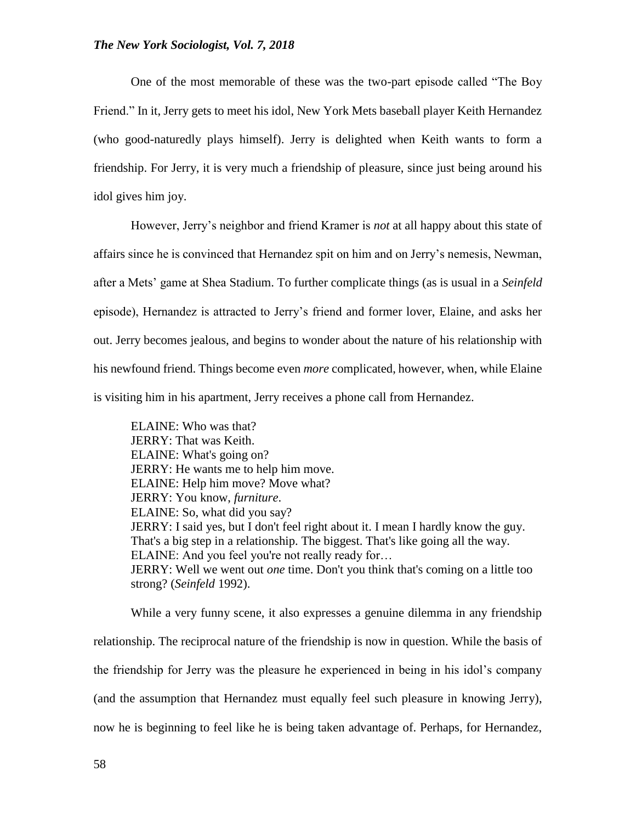One of the most memorable of these was the two-part episode called "The Boy Friend." In it, Jerry gets to meet his idol, New York Mets baseball player Keith Hernandez (who good-naturedly plays himself). Jerry is delighted when Keith wants to form a friendship. For Jerry, it is very much a friendship of pleasure, since just being around his idol gives him joy.

However, Jerry's neighbor and friend Kramer is *not* at all happy about this state of affairs since he is convinced that Hernandez spit on him and on Jerry's nemesis, Newman, after a Mets' game at Shea Stadium. To further complicate things (as is usual in a *Seinfeld*  episode), Hernandez is attracted to Jerry's friend and former lover, Elaine, and asks her out. Jerry becomes jealous, and begins to wonder about the nature of his relationship with his newfound friend. Things become even *more* complicated, however, when, while Elaine is visiting him in his apartment, Jerry receives a phone call from Hernandez.

ELAINE: Who was that? JERRY: That was Keith. ELAINE: What's going on? JERRY: He wants me to help him move. ELAINE: Help him move? Move what? JERRY: You know, *furniture*. ELAINE: So, what did you say? JERRY: I said yes, but I don't feel right about it. I mean I hardly know the guy. That's a big step in a relationship. The biggest. That's like going all the way. ELAINE: And you feel you're not really ready for… JERRY: Well we went out *one* time. Don't you think that's coming on a little too strong? (*Seinfeld* 1992).

While a very funny scene, it also expresses a genuine dilemma in any friendship relationship. The reciprocal nature of the friendship is now in question. While the basis of the friendship for Jerry was the pleasure he experienced in being in his idol's company (and the assumption that Hernandez must equally feel such pleasure in knowing Jerry), now he is beginning to feel like he is being taken advantage of. Perhaps, for Hernandez,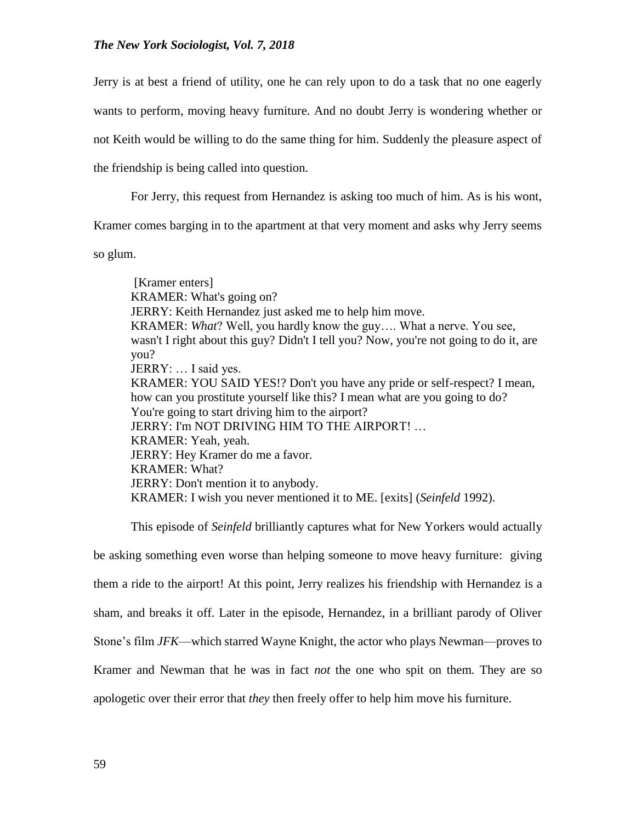Jerry is at best a friend of utility, one he can rely upon to do a task that no one eagerly

wants to perform, moving heavy furniture. And no doubt Jerry is wondering whether or

not Keith would be willing to do the same thing for him. Suddenly the pleasure aspect of

the friendship is being called into question.

For Jerry, this request from Hernandez is asking too much of him. As is his wont,

Kramer comes barging in to the apartment at that very moment and asks why Jerry seems

so glum.

[Kramer enters] KRAMER: What's going on? JERRY: Keith Hernandez just asked me to help him move. KRAMER: *What*? Well, you hardly know the guy…. What a nerve. You see, wasn't I right about this guy? Didn't I tell you? Now, you're not going to do it, are you? JERRY: … I said yes. KRAMER: YOU SAID YES!? Don't you have any pride or self-respect? I mean, how can you prostitute yourself like this? I mean what are you going to do? You're going to start driving him to the airport? JERRY: I'm NOT DRIVING HIM TO THE AIRPORT! … KRAMER: Yeah, yeah. JERRY: Hey Kramer do me a favor. KRAMER: What? JERRY: Don't mention it to anybody. KRAMER: I wish you never mentioned it to ME. [exits] (*Seinfeld* 1992).

This episode of *Seinfeld* brilliantly captures what for New Yorkers would actually

be asking something even worse than helping someone to move heavy furniture: giving them a ride to the airport! At this point, Jerry realizes his friendship with Hernandez is a sham, and breaks it off. Later in the episode, Hernandez, in a brilliant parody of Oliver Stone's film *JFK*—which starred Wayne Knight, the actor who plays Newman—proves to Kramer and Newman that he was in fact *not* the one who spit on them. They are so apologetic over their error that *they* then freely offer to help him move his furniture.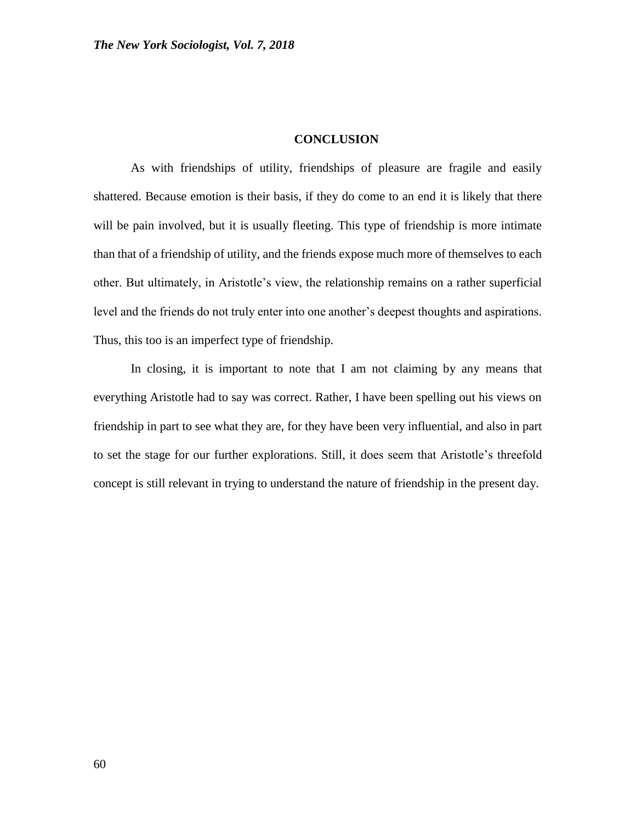## **CONCLUSION**

As with friendships of utility, friendships of pleasure are fragile and easily shattered. Because emotion is their basis, if they do come to an end it is likely that there will be pain involved, but it is usually fleeting. This type of friendship is more intimate than that of a friendship of utility, and the friends expose much more of themselves to each other. But ultimately, in Aristotle's view, the relationship remains on a rather superficial level and the friends do not truly enter into one another's deepest thoughts and aspirations. Thus, this too is an imperfect type of friendship.

In closing, it is important to note that I am not claiming by any means that everything Aristotle had to say was correct. Rather, I have been spelling out his views on friendship in part to see what they are, for they have been very influential, and also in part to set the stage for our further explorations. Still, it does seem that Aristotle's threefold concept is still relevant in trying to understand the nature of friendship in the present day.